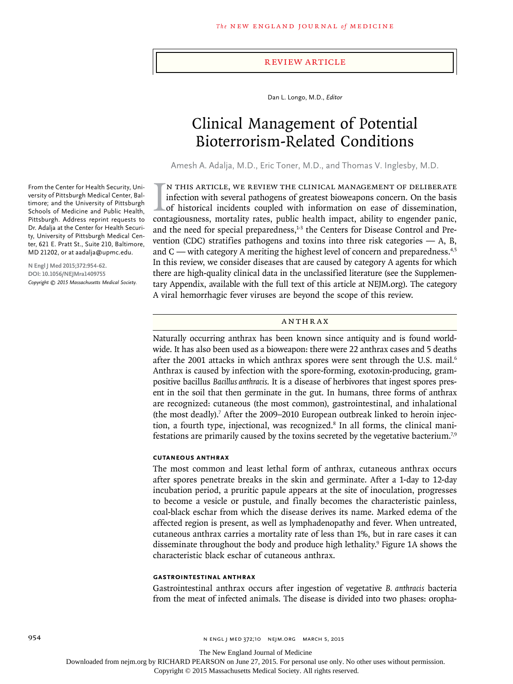## Review Article

Dan L. Longo, M.D., *Editor*

# Clinical Management of Potential Bioterrorism-Related Conditions

Amesh A. Adalja, M.D., Eric Toner, M.D., and Thomas V. Inglesby, M.D.

IN THIS ARTICLE, WE REVIEW THE CLINICAL MANAGEMENT OF DELIBERATE infection with several pathogens of greatest bioweapons concern. On the basis of historical incidents coupled with information on ease of dissemination, cont n this article, we review the clinical management of deliberate infection with several pathogens of greatest bioweapons concern. On the basis of historical incidents coupled with information on ease of dissemination, and the need for special preparedness, $1-3$  the Centers for Disease Control and Prevention (CDC) stratifies pathogens and toxins into three risk categories  $- A$ , B, and  $C$  — with category A meriting the highest level of concern and preparedness.<sup>4,5</sup> In this review, we consider diseases that are caused by category A agents for which there are high-quality clinical data in the unclassified literature (see the Supplementary Appendix, available with the full text of this article at NEJM.org). The category A viral hemorrhagic fever viruses are beyond the scope of this review.

## Anthrax

Naturally occurring anthrax has been known since antiquity and is found worldwide. It has also been used as a bioweapon: there were 22 anthrax cases and 5 deaths after the 2001 attacks in which anthrax spores were sent through the U.S. mail.<sup>6</sup> Anthrax is caused by infection with the spore-forming, exotoxin-producing, grampositive bacillus *Bacillus anthracis*. It is a disease of herbivores that ingest spores present in the soil that then germinate in the gut. In humans, three forms of anthrax are recognized: cutaneous (the most common), gastrointestinal, and inhalational (the most deadly).<sup>7</sup> After the 2009–2010 European outbreak linked to heroin injection, a fourth type, injectional, was recognized.<sup>8</sup> In all forms, the clinical manifestations are primarily caused by the toxins secreted by the vegetative bacterium.7,9

#### **Cutaneous Anthrax**

The most common and least lethal form of anthrax, cutaneous anthrax occurs after spores penetrate breaks in the skin and germinate. After a 1-day to 12-day incubation period, a pruritic papule appears at the site of inoculation, progresses to become a vesicle or pustule, and finally becomes the characteristic painless, coal-black eschar from which the disease derives its name. Marked edema of the affected region is present, as well as lymphadenopathy and fever. When untreated, cutaneous anthrax carries a mortality rate of less than 1%, but in rare cases it can disseminate throughout the body and produce high lethality.9 Figure 1A shows the characteristic black eschar of cutaneous anthrax.

## **Gastrointestinal Anthrax**

Gastrointestinal anthrax occurs after ingestion of vegetative *B. anthracis* bacteria from the meat of infected animals. The disease is divided into two phases: oropha-

From the Center for Health Security, University of Pittsburgh Medical Center, Baltimore; and the University of Pittsburgh Schools of Medicine and Public Health, Pittsburgh. Address reprint requests to Dr. Adalja at the Center for Health Security, University of Pittsburgh Medical Center, 621 E. Pratt St., Suite 210, Baltimore, MD 21202, or at aadalja@upmc.edu.

**N Engl J Med 2015;372:954-62. DOI: 10.1056/NEJMra1409755** *Copyright © 2015 Massachusetts Medical Society.*

The New England Journal of Medicine

Downloaded from nejm.org by RICHARD PEARSON on June 27, 2015. For personal use only. No other uses without permission.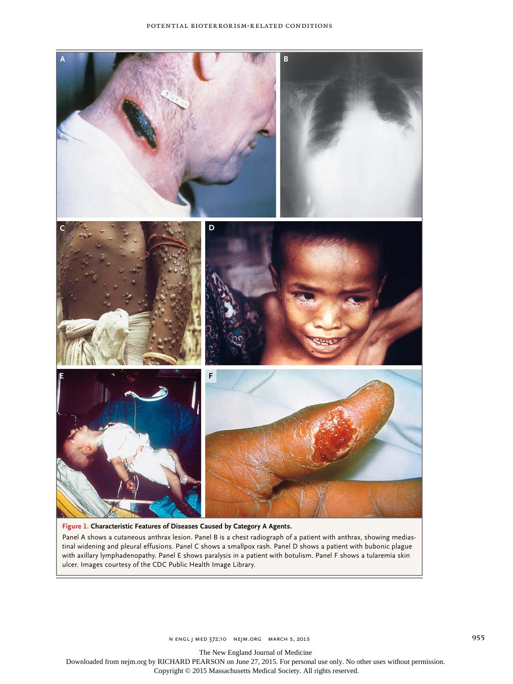

# **Figure 1. Characteristic Features of Diseases Caused by Category A Agents.**

Panel A shows a cutaneous anthrax lesion. Panel B is a chest radiograph of a patient with anthrax, showing mediastinal widening and pleural effusions. Panel C shows a smallpox rash. Panel D shows a patient with bubonic plague with axillary lymphadenopathy. Panel E shows paralysis in a patient with botulism. Panel F shows a tularemia skin ulcer. Images courtesy of the CDC Public Health Image Library.

The New England Journal of Medicine

Downloaded from nejm.org by RICHARD PEARSON on June 27, 2015. For personal use only. No other uses without permission.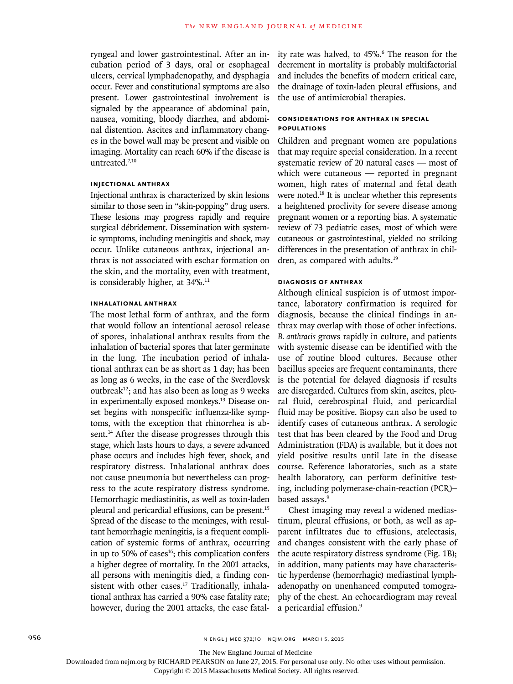ryngeal and lower gastrointestinal. After an incubation period of 3 days, oral or esophageal ulcers, cervical lymphadenopathy, and dysphagia occur. Fever and constitutional symptoms are also present. Lower gastrointestinal involvement is signaled by the appearance of abdominal pain, nausea, vomiting, bloody diarrhea, and abdominal distention. Ascites and inflammatory changes in the bowel wall may be present and visible on imaging. Mortality can reach 60% if the disease is untreated.7,10

# **Injectional Anthrax**

Injectional anthrax is characterized by skin lesions similar to those seen in "skin-popping" drug users. These lesions may progress rapidly and require surgical débridement. Dissemination with systemic symptoms, including meningitis and shock, may occur. Unlike cutaneous anthrax, injectional anthrax is not associated with eschar formation on the skin, and the mortality, even with treatment, is considerably higher, at 34%.<sup>11</sup>

# **Inhalational Anthrax**

The most lethal form of anthrax, and the form that would follow an intentional aerosol release of spores, inhalational anthrax results from the inhalation of bacterial spores that later germinate in the lung. The incubation period of inhalational anthrax can be as short as 1 day; has been as long as 6 weeks, in the case of the Sverdlovsk outbreak<sup>12</sup>; and has also been as long as 9 weeks in experimentally exposed monkeys.13 Disease onset begins with nonspecific influenza-like symptoms, with the exception that rhinorrhea is absent.<sup>14</sup> After the disease progresses through this stage, which lasts hours to days, a severe advanced phase occurs and includes high fever, shock, and respiratory distress. Inhalational anthrax does not cause pneumonia but nevertheless can progress to the acute respiratory distress syndrome. Hemorrhagic mediastinitis, as well as toxin-laden pleural and pericardial effusions, can be present.<sup>15</sup> Spread of the disease to the meninges, with resultant hemorrhagic meningitis, is a frequent complication of systemic forms of anthrax, occurring in up to 50% of cases $16$ ; this complication confers a higher degree of mortality. In the 2001 attacks, all persons with meningitis died, a finding consistent with other cases.<sup>17</sup> Traditionally, inhalational anthrax has carried a 90% case fatality rate; however, during the 2001 attacks, the case fatal-

ity rate was halved, to 45%.6 The reason for the decrement in mortality is probably multifactorial and includes the benefits of modern critical care, the drainage of toxin-laden pleural effusions, and the use of antimicrobial therapies.

# **Considerations for Anthrax in Special Populations**

Children and pregnant women are populations that may require special consideration. In a recent systematic review of 20 natural cases — most of which were cutaneous — reported in pregnant women, high rates of maternal and fetal death were noted.<sup>18</sup> It is unclear whether this represents a heightened proclivity for severe disease among pregnant women or a reporting bias. A systematic review of 73 pediatric cases, most of which were cutaneous or gastrointestinal, yielded no striking differences in the presentation of anthrax in children, as compared with adults.<sup>19</sup>

# **Diagnosis of Anthrax**

Although clinical suspicion is of utmost importance, laboratory confirmation is required for diagnosis, because the clinical findings in anthrax may overlap with those of other infections. *B. anthracis* grows rapidly in culture, and patients with systemic disease can be identified with the use of routine blood cultures. Because other bacillus species are frequent contaminants, there is the potential for delayed diagnosis if results are disregarded. Cultures from skin, ascites, pleural fluid, cerebrospinal fluid, and pericardial fluid may be positive. Biopsy can also be used to identify cases of cutaneous anthrax. A serologic test that has been cleared by the Food and Drug Administration (FDA) is available, but it does not yield positive results until late in the disease course. Reference laboratories, such as a state health laboratory, can perform definitive testing, including polymerase-chain-reaction (PCR)– based assays.<sup>9</sup>

Chest imaging may reveal a widened mediastinum, pleural effusions, or both, as well as apparent infiltrates due to effusions, atelectasis, and changes consistent with the early phase of the acute respiratory distress syndrome (Fig. 1B); in addition, many patients may have characteristic hyperdense (hemorrhagic) mediastinal lymphadenopathy on unenhanced computed tomography of the chest. An echocardiogram may reveal a pericardial effusion.<sup>9</sup>

The New England Journal of Medicine

Downloaded from nejm.org by RICHARD PEARSON on June 27, 2015. For personal use only. No other uses without permission.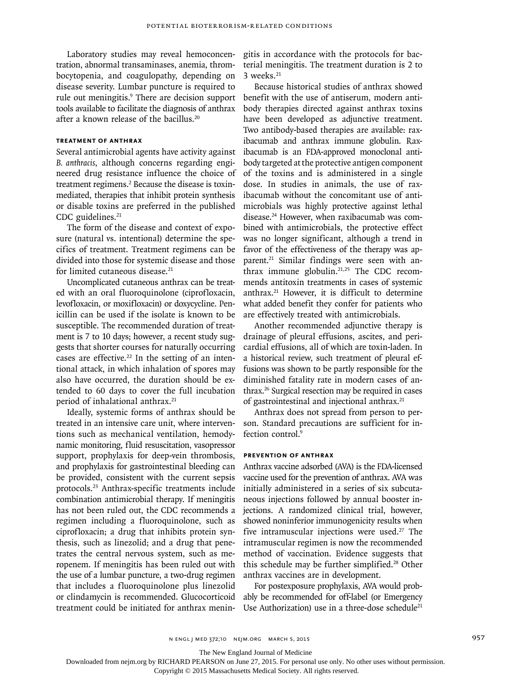Laboratory studies may reveal hemoconcentration, abnormal transaminases, anemia, thrombocytopenia, and coagulopathy, depending on disease severity. Lumbar puncture is required to rule out meningitis.<sup>9</sup> There are decision support tools available to facilitate the diagnosis of anthrax after a known release of the bacillus.20

# **Treatment of Anthrax**

Several antimicrobial agents have activity against *B. anthracis*, although concerns regarding engineered drug resistance influence the choice of treatment regimens.<sup>2</sup> Because the disease is toxinmediated, therapies that inhibit protein synthesis or disable toxins are preferred in the published CDC guidelines.<sup>21</sup>

The form of the disease and context of exposure (natural vs. intentional) determine the specifics of treatment. Treatment regimens can be divided into those for systemic disease and those for limited cutaneous disease.<sup>21</sup>

Uncomplicated cutaneous anthrax can be treated with an oral fluoroquinolone (ciprofloxacin, levofloxacin, or moxifloxacin) or doxycycline. Penicillin can be used if the isolate is known to be susceptible. The recommended duration of treatment is 7 to 10 days; however, a recent study suggests that shorter courses for naturally occurring cases are effective.<sup>22</sup> In the setting of an intentional attack, in which inhalation of spores may also have occurred, the duration should be extended to 60 days to cover the full incubation period of inhalational anthrax.<sup>21</sup>

Ideally, systemic forms of anthrax should be treated in an intensive care unit, where interventions such as mechanical ventilation, hemodynamic monitoring, fluid resuscitation, vasopressor support, prophylaxis for deep-vein thrombosis, and prophylaxis for gastrointestinal bleeding can be provided, consistent with the current sepsis protocols.23 Anthrax-specific treatments include combination antimicrobial therapy. If meningitis has not been ruled out, the CDC recommends a regimen including a fluoroquinolone, such as ciprofloxacin; a drug that inhibits protein synthesis, such as linezolid; and a drug that penetrates the central nervous system, such as meropenem. If meningitis has been ruled out with the use of a lumbar puncture, a two-drug regimen that includes a fluoroquinolone plus linezolid or clindamycin is recommended. Glucocorticoid treatment could be initiated for anthrax meningitis in accordance with the protocols for bacterial meningitis. The treatment duration is 2 to  $3$  weeks. $21$ 

Because historical studies of anthrax showed benefit with the use of antiserum, modern antibody therapies directed against anthrax toxins have been developed as adjunctive treatment. Two antibody-based therapies are available: raxibacumab and anthrax immune globulin. Raxibacumab is an FDA-approved monoclonal antibody targeted at the protective antigen component of the toxins and is administered in a single dose. In studies in animals, the use of raxibacumab without the concomitant use of antimicrobials was highly protective against lethal disease.24 However, when raxibacumab was combined with antimicrobials, the protective effect was no longer significant, although a trend in favor of the effectiveness of the therapy was apparent.21 Similar findings were seen with anthrax immune globulin. $21,25$  The CDC recommends antitoxin treatments in cases of systemic anthrax.21 However, it is difficult to determine what added benefit they confer for patients who are effectively treated with antimicrobials.

Another recommended adjunctive therapy is drainage of pleural effusions, ascites, and pericardial effusions, all of which are toxin-laden. In a historical review, such treatment of pleural effusions was shown to be partly responsible for the diminished fatality rate in modern cases of anthrax.26 Surgical resection may be required in cases of gastrointestinal and injectional anthrax.<sup>21</sup>

Anthrax does not spread from person to person. Standard precautions are sufficient for infection control.<sup>9</sup>

## **Prevention of Anthrax**

Anthrax vaccine adsorbed (AVA) is the FDA-licensed vaccine used for the prevention of anthrax. AVA was initially administered in a series of six subcutaneous injections followed by annual booster injections. A randomized clinical trial, however, showed noninferior immunogenicity results when five intramuscular injections were used.<sup>27</sup> The intramuscular regimen is now the recommended method of vaccination. Evidence suggests that this schedule may be further simplified.<sup>28</sup> Other anthrax vaccines are in development.

For postexposure prophylaxis, AVA would probably be recommended for off-label (or Emergency Use Authorization) use in a three-dose schedule<sup>21</sup>

The New England Journal of Medicine

Downloaded from nejm.org by RICHARD PEARSON on June 27, 2015. For personal use only. No other uses without permission.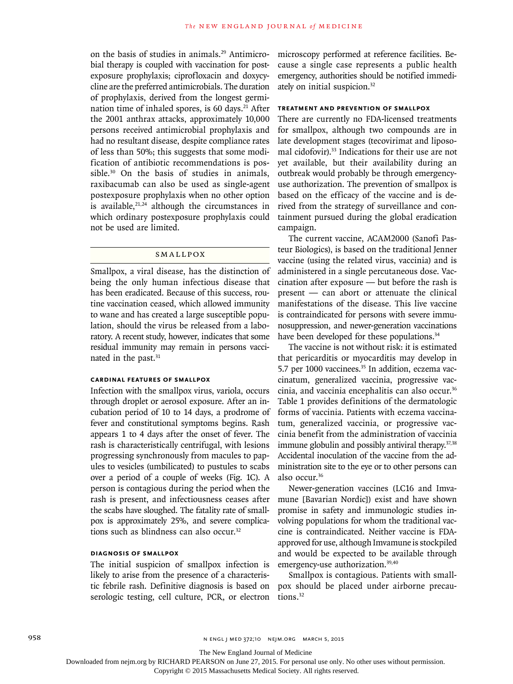on the basis of studies in animals.29 Antimicrobial therapy is coupled with vaccination for postexposure prophylaxis; ciprofloxacin and doxycycline are the preferred antimicrobials. The duration of prophylaxis, derived from the longest germination time of inhaled spores, is 60 days.<sup>21</sup> After the 2001 anthrax attacks, approximately 10,000 persons received antimicrobial prophylaxis and had no resultant disease, despite compliance rates of less than 50%; this suggests that some modification of antibiotic recommendations is possible.<sup>30</sup> On the basis of studies in animals, raxibacumab can also be used as single-agent postexposure prophylaxis when no other option is available, $21,24$  although the circumstances in which ordinary postexposure prophylaxis could not be used are limited.

## **SMALLPOX**

Smallpox, a viral disease, has the distinction of being the only human infectious disease that has been eradicated. Because of this success, routine vaccination ceased, which allowed immunity to wane and has created a large susceptible population, should the virus be released from a laboratory. A recent study, however, indicates that some residual immunity may remain in persons vaccinated in the past.<sup>31</sup>

# **Cardinal Features of Smallpox**

Infection with the smallpox virus, variola, occurs through droplet or aerosol exposure. After an incubation period of 10 to 14 days, a prodrome of fever and constitutional symptoms begins. Rash appears 1 to 4 days after the onset of fever. The rash is characteristically centrifugal, with lesions progressing synchronously from macules to papules to vesicles (umbilicated) to pustules to scabs over a period of a couple of weeks (Fig. 1C). A person is contagious during the period when the rash is present, and infectiousness ceases after the scabs have sloughed. The fatality rate of smallpox is approximately 25%, and severe complications such as blindness can also occur.32

# **Diagnosis of Smallpox**

The initial suspicion of smallpox infection is likely to arise from the presence of a characteristic febrile rash. Definitive diagnosis is based on serologic testing, cell culture, PCR, or electron microscopy performed at reference facilities. Because a single case represents a public health emergency, authorities should be notified immediately on initial suspicion.32

# **Treatment and Prevention of Smallpox**

There are currently no FDA-licensed treatments for smallpox, although two compounds are in late development stages (tecovirimat and liposomal cidofovir).<sup>33</sup> Indications for their use are not yet available, but their availability during an outbreak would probably be through emergencyuse authorization. The prevention of smallpox is based on the efficacy of the vaccine and is derived from the strategy of surveillance and containment pursued during the global eradication campaign.

The current vaccine, ACAM2000 (Sanofi Pasteur Biologics), is based on the traditional Jenner vaccine (using the related virus, vaccinia) and is administered in a single percutaneous dose. Vaccination after exposure — but before the rash is present — can abort or attenuate the clinical manifestations of the disease. This live vaccine is contraindicated for persons with severe immunosuppression, and newer-generation vaccinations have been developed for these populations.<sup>34</sup>

The vaccine is not without risk: it is estimated that pericarditis or myocarditis may develop in 5.7 per 1000 vaccinees.<sup>35</sup> In addition, eczema vaccinatum, generalized vaccinia, progressive vaccinia, and vaccinia encephalitis can also occur.<sup>36</sup> Table 1 provides definitions of the dermatologic forms of vaccinia. Patients with eczema vaccinatum, generalized vaccinia, or progressive vaccinia benefit from the administration of vaccinia immune globulin and possibly antiviral therapy.<sup>37,38</sup> Accidental inoculation of the vaccine from the administration site to the eye or to other persons can also occur.36

Newer-generation vaccines (LC16 and Imvamune [Bavarian Nordic]) exist and have shown promise in safety and immunologic studies involving populations for whom the traditional vaccine is contraindicated. Neither vaccine is FDAapproved for use, although Imvamune is stockpiled and would be expected to be available through emergency-use authorization.39,40

Smallpox is contagious. Patients with smallpox should be placed under airborne precautions.<sup>32</sup>

The New England Journal of Medicine

Downloaded from nejm.org by RICHARD PEARSON on June 27, 2015. For personal use only. No other uses without permission.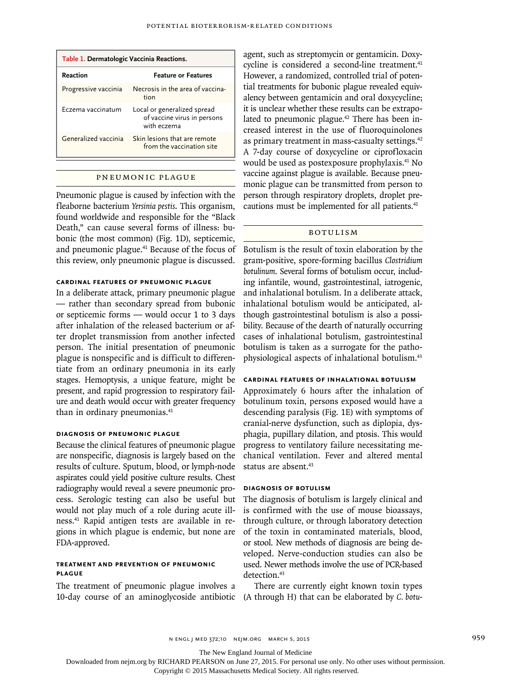| Table 1. Dermatologic Vaccinia Reactions. |                                                                           |  |  |  |
|-------------------------------------------|---------------------------------------------------------------------------|--|--|--|
| Reaction                                  | <b>Feature or Features</b>                                                |  |  |  |
| Progressive vaccinia                      | Necrosis in the area of vaccina-<br>tion                                  |  |  |  |
| Frzema vaccinatum                         | Local or generalized spread<br>of vaccine virus in persons<br>with eczema |  |  |  |
| Generalized vaccinia                      | Skin lesions that are remote<br>from the vaccination site                 |  |  |  |

#### Pneumonic Plague

Pneumonic plague is caused by infection with the fleaborne bacterium *Yersinia pestis*. This organism, found worldwide and responsible for the "Black Death," can cause several forms of illness: bubonic (the most common) (Fig. 1D), septicemic, and pneumonic plague.41 Because of the focus of this review, only pneumonic plague is discussed.

# **Cardinal Features of Pneumonic Plague**

In a deliberate attack, primary pneumonic plague — rather than secondary spread from bubonic or septicemic forms — would occur 1 to 3 days after inhalation of the released bacterium or after droplet transmission from another infected person. The initial presentation of pneumonic plague is nonspecific and is difficult to differentiate from an ordinary pneumonia in its early stages. Hemoptysis, a unique feature, might be present, and rapid progression to respiratory failure and death would occur with greater frequency than in ordinary pneumonias.<sup>41</sup>

# **Diagnosis of Pneumonic Plague**

Because the clinical features of pneumonic plague are nonspecific, diagnosis is largely based on the results of culture. Sputum, blood, or lymph-node aspirates could yield positive culture results. Chest radiography would reveal a severe pneumonic process. Serologic testing can also be useful but would not play much of a role during acute illness.41 Rapid antigen tests are available in regions in which plague is endemic, but none are FDA-approved.

# **Treatment and Prevention of Pneumonic Plague**

The treatment of pneumonic plague involves a 10-day course of an aminoglycoside antibiotic (A through H) that can be elaborated by *C. botu-*

agent, such as streptomycin or gentamicin. Doxycycline is considered a second-line treatment.<sup>41</sup> However, a randomized, controlled trial of potential treatments for bubonic plague revealed equivalency between gentamicin and oral doxycycline; it is unclear whether these results can be extrapolated to pneumonic plague.<sup>42</sup> There has been increased interest in the use of fluoroquinolones as primary treatment in mass-casualty settings.<sup>42</sup> A 7-day course of doxycycline or ciprofloxacin would be used as postexposure prophylaxis.41 No vaccine against plague is available. Because pneumonic plague can be transmitted from person to person through respiratory droplets, droplet precautions must be implemented for all patients.<sup>41</sup>

# Botulism

Botulism is the result of toxin elaboration by the gram-positive, spore-forming bacillus *Clostridium botulinum*. Several forms of botulism occur, including infantile, wound, gastrointestinal, iatrogenic, and inhalational botulism. In a deliberate attack, inhalational botulism would be anticipated, although gastrointestinal botulism is also a possibility. Because of the dearth of naturally occurring cases of inhalational botulism, gastrointestinal botulism is taken as a surrogate for the pathophysiological aspects of inhalational botulism.43

# **Cardinal Features of Inhalational Botulism**

Approximately 6 hours after the inhalation of botulinum toxin, persons exposed would have a descending paralysis (Fig. 1E) with symptoms of cranial-nerve dysfunction, such as diplopia, dysphagia, pupillary dilation, and ptosis. This would progress to ventilatory failure necessitating mechanical ventilation. Fever and altered mental status are absent.<sup>43</sup>

# **Diagnosis of Botulism**

The diagnosis of botulism is largely clinical and is confirmed with the use of mouse bioassays, through culture, or through laboratory detection of the toxin in contaminated materials, blood, or stool. New methods of diagnosis are being developed. Nerve-conduction studies can also be used. Newer methods involve the use of PCR-based detection.<sup>43</sup>

There are currently eight known toxin types

n engl j med 372;10 nejm.org March 5, 2015 959

The New England Journal of Medicine

Downloaded from nejm.org by RICHARD PEARSON on June 27, 2015. For personal use only. No other uses without permission.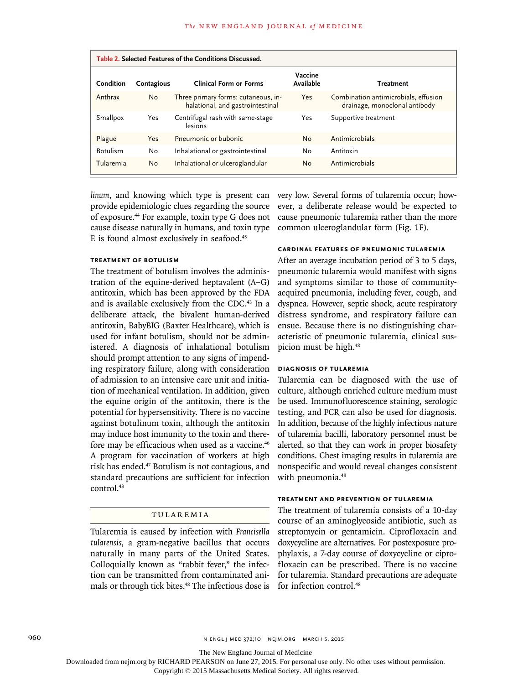| Table 2. Selected Features of the Conditions Discussed. |            |                                                                         |                      |                                                                       |  |
|---------------------------------------------------------|------------|-------------------------------------------------------------------------|----------------------|-----------------------------------------------------------------------|--|
| Condition                                               | Contagious | <b>Clinical Form or Forms</b>                                           | Vaccine<br>Available | <b>Treatment</b>                                                      |  |
| Anthrax                                                 | <b>No</b>  | Three primary forms: cutaneous, in-<br>halational, and gastrointestinal | Yes                  | Combination antimicrobials, effusion<br>drainage, monoclonal antibody |  |
| Smallpox                                                | Yes        | Centrifugal rash with same-stage<br>lesions                             | Yes                  | Supportive treatment                                                  |  |
| Plague                                                  | Yes        | Pneumonic or bubonic                                                    | No                   | Antimicrobials                                                        |  |
| <b>Botulism</b>                                         | No         | Inhalational or gastrointestinal                                        | No                   | Antitoxin                                                             |  |
| Tularemia                                               | <b>No</b>  | Inhalational or ulceroglandular                                         | No                   | Antimicrobials                                                        |  |

linum, and knowing which type is present can very low. Several forms of tularemia occur; howprovide epidemiologic clues regarding the source of exposure.44 For example, toxin type G does not cause disease naturally in humans, and toxin type E is found almost exclusively in seafood.<sup>45</sup>

# **Treatment of Botulism**

The treatment of botulism involves the administration of the equine-derived heptavalent (A–G) antitoxin, which has been approved by the FDA and is available exclusively from the CDC.<sup>43</sup> In a deliberate attack, the bivalent human-derived antitoxin, BabyBIG (Baxter Healthcare), which is used for infant botulism, should not be administered. A diagnosis of inhalational botulism should prompt attention to any signs of impending respiratory failure, along with consideration of admission to an intensive care unit and initiation of mechanical ventilation. In addition, given the equine origin of the antitoxin, there is the potential for hypersensitivity. There is no vaccine against botulinum toxin, although the antitoxin may induce host immunity to the toxin and therefore may be efficacious when used as a vaccine.<sup>46</sup> A program for vaccination of workers at high risk has ended.47 Botulism is not contagious, and standard precautions are sufficient for infection control.<sup>43</sup>

## Tularemia

Tularemia is caused by infection with *Francisella tularensis*, a gram-negative bacillus that occurs naturally in many parts of the United States. Colloquially known as "rabbit fever," the infection can be transmitted from contaminated animals or through tick bites.<sup>48</sup> The infectious dose is

ever, a deliberate release would be expected to cause pneumonic tularemia rather than the more common ulceroglandular form (Fig. 1F).

# **Cardinal Features of Pneumonic Tularemia**

After an average incubation period of 3 to 5 days, pneumonic tularemia would manifest with signs and symptoms similar to those of communityacquired pneumonia, including fever, cough, and dyspnea. However, septic shock, acute respiratory distress syndrome, and respiratory failure can ensue. Because there is no distinguishing characteristic of pneumonic tularemia, clinical suspicion must be high.<sup>48</sup>

## **Diagnosis of Tularemia**

Tularemia can be diagnosed with the use of culture, although enriched culture medium must be used. Immunofluorescence staining, serologic testing, and PCR can also be used for diagnosis. In addition, because of the highly infectious nature of tularemia bacilli, laboratory personnel must be alerted, so that they can work in proper biosafety conditions. Chest imaging results in tularemia are nonspecific and would reveal changes consistent with pneumonia.<sup>48</sup>

## **Treatment and Prevention of Tularemia**

The treatment of tularemia consists of a 10-day course of an aminoglycoside antibiotic, such as streptomycin or gentamicin. Ciprofloxacin and doxycycline are alternatives. For postexposure prophylaxis, a 7-day course of doxycycline or ciprofloxacin can be prescribed. There is no vaccine for tularemia. Standard precautions are adequate for infection control.<sup>48</sup>

The New England Journal of Medicine

Downloaded from nejm.org by RICHARD PEARSON on June 27, 2015. For personal use only. No other uses without permission.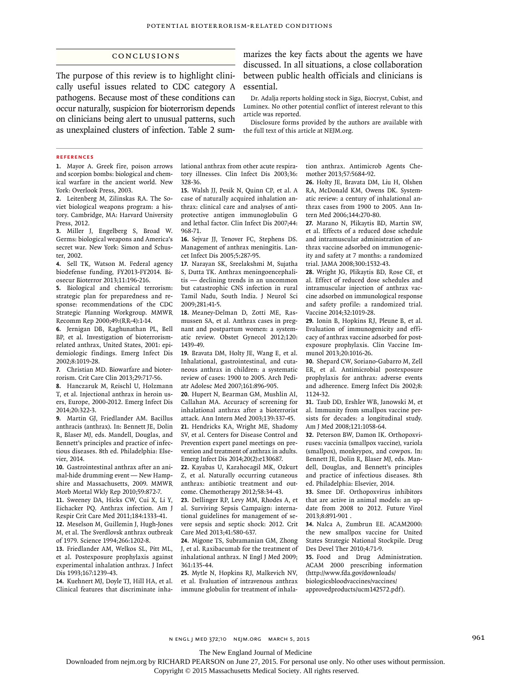## Conclusions

The purpose of this review is to highlight clinically useful issues related to CDC category A pathogens. Because most of these conditions can occur naturally, suspicion for bioterrorism depends on clinicians being alert to unusual patterns, such as unexplained clusters of infection. Table 2 summarizes the key facts about the agents we have discussed. In all situations, a close collaboration between public health officials and clinicians is essential.

Dr. Adalja reports holding stock in Siga, Biocryst, Cubist, and Luminex. No other potential conflict of interest relevant to this article was reported.

Disclosure forms provided by the authors are available with the full text of this article at NEJM.org.

#### **References**

**1.** Mayor A. Greek fire, poison arrows and scorpion bombs: biological and chemical warfare in the ancient world. New York: Overlook Press, 2003.

**2.** Leitenberg M, Zilinskas RA. The Soviet biological weapons program: a history. Cambridge, MA: Harvard University Press, 2012.

**3.** Miller J, Engelberg S, Broad W. Germs: biological weapons and America's secret war. New York: Simon and Schuster, 2002.

**4.** Sell TK, Watson M. Federal agency biodefense funding, FY2013-FY2014. Biosecur Bioterror 2013;11:196-216.

**5.** Biological and chemical terrorism: strategic plan for preparedness and response: recommendations of the CDC Strategic Planning Workgroup. MMWR Recomm Rep 2000;49:(RR-4):1-14.

**6.** Jernigan DB, Raghunathan PL, Bell BP, et al. Investigation of bioterrorismrelated anthrax, United States, 2001: epidemiologic findings. Emerg Infect Dis 2002;8:1019-28.

**7.** Christian MD. Biowarfare and bioterrorism. Crit Care Clin 2013;29:717-56.

**8.** Hanczaruk M, Reischl U, Holzmann T, et al. Injectional anthrax in heroin users, Europe, 2000-2012. Emerg Infect Dis 2014;20:322-3.

**9.** Martin GJ, Friedlander AM. Bacillus anthracis (anthrax). In: Bennett JE, Dolin R, Blaser MJ, eds. Mandell, Douglas, and Bennett's principles and practice of infectious diseases. 8th ed. Philadelphia: Elsevier, 2014.

**10.** Gastrointestinal anthrax after an animal-hide drumming event — New Hampshire and Massachusetts, 2009. MMWR Morb Mortal Wkly Rep 2010;59:872-7.

**11.** Sweeney DA, Hicks CW, Cui X, Li Y, Eichacker PQ. Anthrax infection. Am J Respir Crit Care Med 2011;184:1333-41. **12.** Meselson M, Guillemin J, Hugh-Jones M, et al. The Sverdlovsk anthrax outbreak of 1979. Science 1994;266:1202-8.

**13.** Friedlander AM, Welkos SL, Pitt ML, et al. Postexposure prophylaxis against experimental inhalation anthrax. J Infect Dis 1993;167:1239-43.

**14.** Kuehnert MJ, Doyle TJ, Hill HA, et al. Clinical features that discriminate inhalational anthrax from other acute respiratory illnesses. Clin Infect Dis 2003;36: 328-36.

**15.** Walsh JJ, Pesik N, Quinn CP, et al. A case of naturally acquired inhalation anthrax: clinical care and analyses of antiprotective antigen immunoglobulin G and lethal factor. Clin Infect Dis 2007;44: 968-71.

**16.** Sejvar JJ, Tenover FC, Stephens DS. Management of anthrax meningitis. Lancet Infect Dis 2005;5:287-95.

**17.** Narayan SK, Sreelakshmi M, Sujatha S, Dutta TK. Anthrax meningoencephalitis — declining trends in an uncommon but catastrophic CNS infection in rural Tamil Nadu, South India. J Neurol Sci 2009;281:41-5.

**18.** Meaney-Delman D, Zotti ME, Rasmussen SA, et al. Anthrax cases in pregnant and postpartum women: a systematic review. Obstet Gynecol 2012;120: 1439-49.

**19.** Bravata DM, Holty JE, Wang E, et al. Inhalational, gastrointestinal, and cutaneous anthrax in children: a systematic review of cases: 1900 to 2005. Arch Pediatr Adolesc Med 2007;161:896-905.

**20.** Hupert N, Bearman GM, Mushlin AI, Callahan MA. Accuracy of screening for inhalational anthrax after a bioterrorist attack. Ann Intern Med 2003;139:337-45. **21.** Hendricks KA, Wright ME, Shadomy SV, et al. Centers for Disease Control and Prevention expert panel meetings on prevention and treatment of anthrax in adults. Emerg Infect Dis 2014;20(2):e130687.

**22.** Kayabas U, Karahocagil MK, Ozkurt Z, et al. Naturally occurring cutaneous anthrax: antibiotic treatment and outcome. Chemotherapy 2012;58:34-43.

**23.** Dellinger RP, Levy MM, Rhodes A, et al. Surviving Sepsis Campaign: international guidelines for management of severe sepsis and septic shock: 2012. Crit Care Med 2013;41:580-637.

**24.** Migone TS, Subramanian GM, Zhong J, et al. Raxibacumab for the treatment of inhalational anthrax. N Engl J Med 2009; 361:135-44.

**25.** Mytle N, Hopkins RJ, Malkevich NV, et al. Evaluation of intravenous anthrax immune globulin for treatment of inhalation anthrax. Antimicrob Agents Chemother 2013;57:5684-92.

**26.** Holty JE, Bravata DM, Liu H, Olshen RA, McDonald KM, Owens DK. Systematic review: a century of inhalational anthrax cases from 1900 to 2005. Ann Intern Med 2006;144:270-80.

**27.** Marano N, Plikaytis BD, Martin SW, et al. Effects of a reduced dose schedule and intramuscular administration of anthrax vaccine adsorbed on immunogenicity and safety at 7 months: a randomized trial. JAMA 2008;300:1532-43.

**28.** Wright JG, Plikaytis BD, Rose CE, et al. Effect of reduced dose schedules and intramuscular injection of anthrax vaccine adsorbed on immunological response and safety profile: a randomized trial. Vaccine 2014;32:1019-28.

**29.** Ionin B, Hopkins RJ, Pleune B, et al. Evaluation of immunogenicity and efficacy of anthrax vaccine adsorbed for postexposure prophylaxis. Clin Vaccine Immunol 2013;20:1016-26.

**30.** Shepard CW, Soriano-Gabarro M, Zell ER, et al. Antimicrobial postexposure prophylaxis for anthrax: adverse events and adherence. Emerg Infect Dis 2002;8: 1124-32.

**31.** Taub DD, Ershler WB, Janowski M, et al. Immunity from smallpox vaccine persists for decades: a longitudinal study. Am J Med 2008;121:1058-64.

**32.** Peterson BW, Damon IK. Orthopoxviruses: vaccinia (smallpox vaccine), variola (smallpox), monkeypox, and cowpox. In: Bennett JE, Dolin R, Blaser MJ, eds. Mandell, Douglas, and Bennett's principles and practice of infectious diseases. 8th ed. Philadelphia: Elsevier, 2014.

**33.** Smee DF. Orthopoxvirus inhibitors that are active in animal models: an update from 2008 to 2012. Future Virol 2013;8:891-901 .

**34.** Nalca A, Zumbrun EE. ACAM2000: the new smallpox vaccine for United States Strategic National Stockpile. Drug Des Devel Ther 2010;4:71-9.

**35.** Food and Drug Administration. ACAM 2000 prescribing information (http://www.fda.gov/downloads/ biologicsbloodvaccines/vaccines/ approvedproducts/ucm142572.pdf).

n engl j med 372;10 nejm.org March 5, 2015 961

The New England Journal of Medicine

Downloaded from nejm.org by RICHARD PEARSON on June 27, 2015. For personal use only. No other uses without permission.